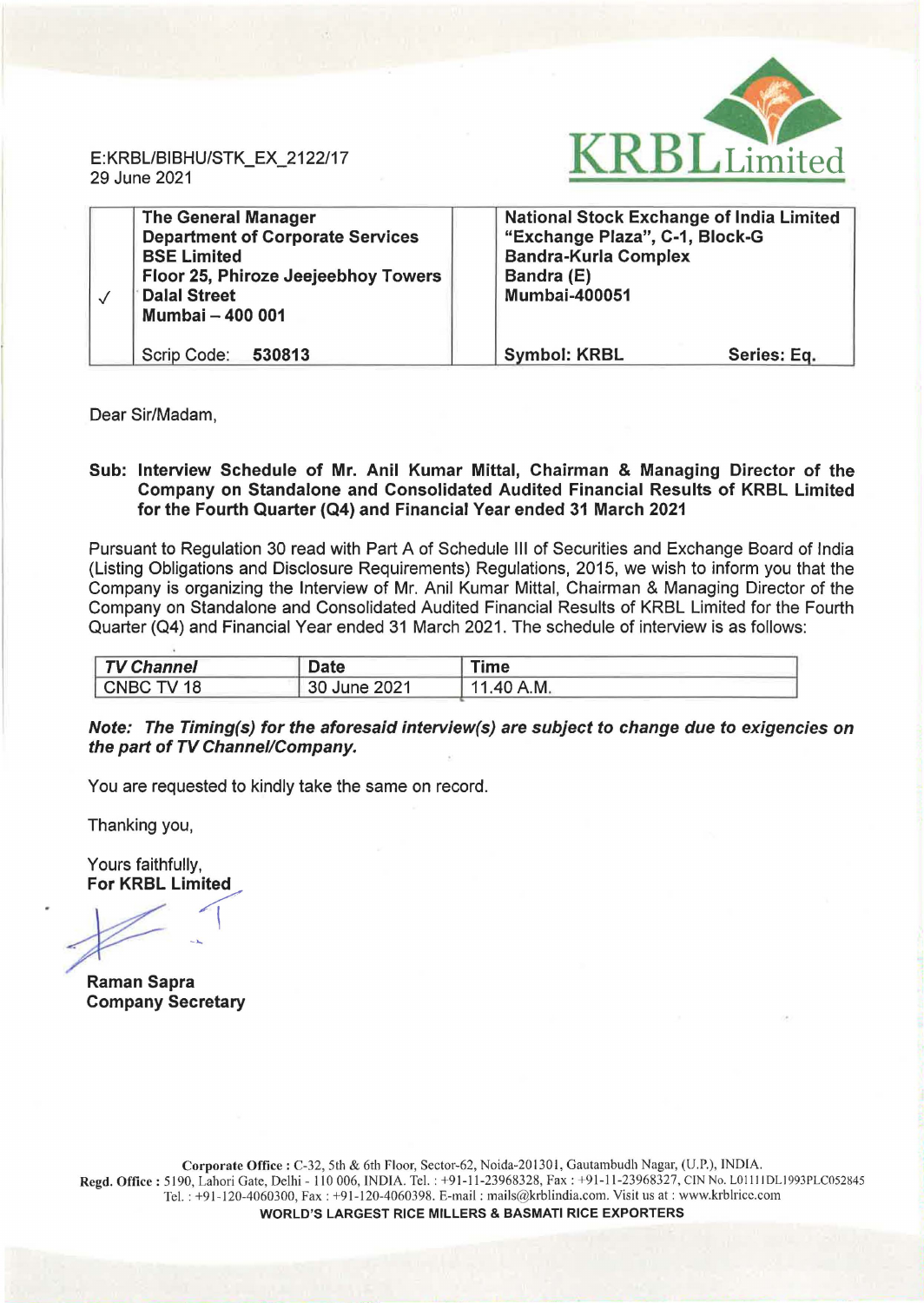

E: KRBL/BIBHU/STK\_EX\_2122/17 29 June 2021

| <b>The General Manager</b><br><b>Department of Corporate Services</b><br><b>BSE Limited</b><br>Floor 25, Phiroze Jeejeebhoy Towers<br><b>Dalal Street</b><br>Mumbai - 400 001 | <b>National Stock Exchange of India Limited</b><br>"Exchange Plaza", C-1, Block-G<br><b>Bandra-Kurla Complex</b><br>Bandra (E)<br><b>Mumbai-400051</b> |  |
|-------------------------------------------------------------------------------------------------------------------------------------------------------------------------------|--------------------------------------------------------------------------------------------------------------------------------------------------------|--|
| Scrip Code:<br>530813                                                                                                                                                         | <b>Symbol: KRBL</b><br>Series: Eq.                                                                                                                     |  |

Dear Sir/Madam,

## Sub: Interview Schedule of Mr. Anil Kumar Mittal, Chairman & Managing Director of the Company on Standalone and Consolidated Audited Financial Results of KRBL Limited for the Fourth Quarter (Q4) and Financial Year ended 31 March 2021

Pursuant to Regulation 30 read with Part A of Schedule Ill of Securities and Exchange Board of India (Listing Obligations and Disclosure Requirements) Regulations, 2015, we wish to inform you that the Company is organizing the Interview of Mr. Anil Kumar Mittal, Chairman & Managing Director of the Company on Standalone and Consolidated Audited Financial Results of KRBL Limited for the Fourth Quarter (04) and Financial Year ended 31 March 2021. The schedule of interview is as follows:

| <b>TV Channel</b> | Date         | Time            |  |
|-------------------|--------------|-----------------|--|
| CNBC TV 18        | 30 June 2021 | 1.40 A.M.<br>11 |  |

## Note: The Timing(s) for the aforesaid interview(s) are subject to change due to exigencies on the part of TV Channel/Company.

You are requested to kindly take the same on record.

Thanking you,

Yours faithfully,

Fours failming,<br>For KRBL Limited

Raman Sapra Company Secretary